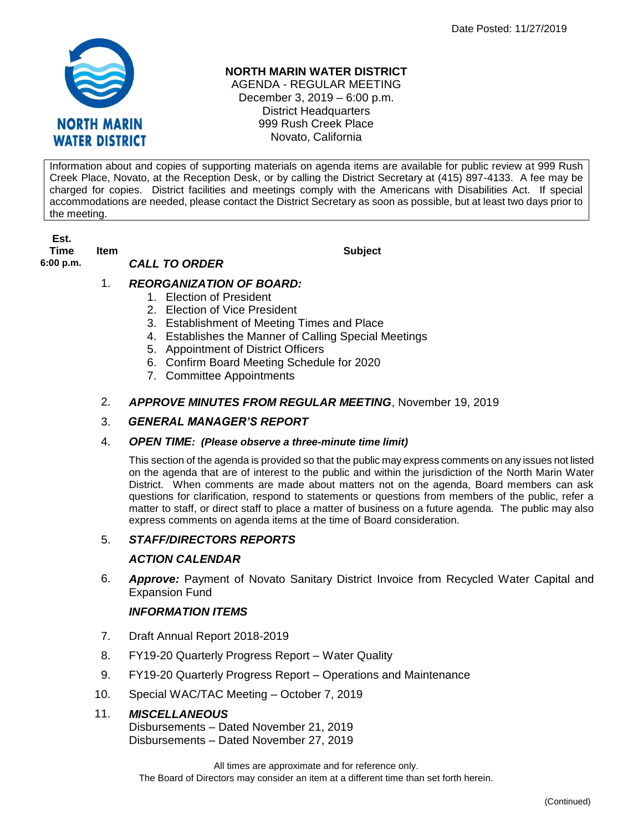

## **NORTH MARIN WATER DISTRICT**

AGENDA - REGULAR MEETING December 3, 2019 – 6:00 p.m. District Headquarters 999 Rush Creek Place Novato, California

Information about and copies of supporting materials on agenda items are available for public review at 999 Rush Creek Place, Novato, at the Reception Desk, or by calling the District Secretary at (415) 897-4133. A fee may be charged for copies. District facilities and meetings comply with the Americans with Disabilities Act. If special accommodations are needed, please contact the District Secretary as soon as possible, but at least two days prior to the meeting.

**Est. Time Item Subject 6:00 p.m.** *CALL TO ORDER* 

## 1. *REORGANIZATION OF BOARD:*

- 1. Election of President
- 2. Election of Vice President
- 3. Establishment of Meeting Times and Place
- 4. Establishes the Manner of Calling Special Meetings
- 5. Appointment of District Officers
- 6. Confirm Board Meeting Schedule for 2020
- 7. Committee Appointments
- 2. *APPROVE MINUTES FROM REGULAR MEETING*, November 19, 2019

#### 3. *GENERAL MANAGER'S REPORT*

#### 4. *OPEN TIME: (Please observe a three-minute time limit)*

This section of the agenda is provided so that the public may express comments on any issues not listed on the agenda that are of interest to the public and within the jurisdiction of the North Marin Water District. When comments are made about matters not on the agenda, Board members can ask questions for clarification, respond to statements or questions from members of the public, refer a matter to staff, or direct staff to place a matter of business on a future agenda. The public may also express comments on agenda items at the time of Board consideration.

#### 5. *STAFF/DIRECTORS REPORTS*

#### *ACTION CALENDAR*

6. *Approve:* Payment of Novato Sanitary District Invoice from Recycled Water Capital and Expansion Fund

#### *INFORMATION ITEMS*

- 7. Draft Annual Report 2018-2019
- 8. FY19-20 Quarterly Progress Report Water Quality
- 9. FY19-20 Quarterly Progress Report Operations and Maintenance
- 10. Special WAC/TAC Meeting October 7, 2019

#### 11. *MISCELLANEOUS*

Disbursements – Dated November 21, 2019 Disbursements – Dated November 27, 2019

All times are approximate and for reference only. The Board of Directors may consider an item at a different time than set forth herein.